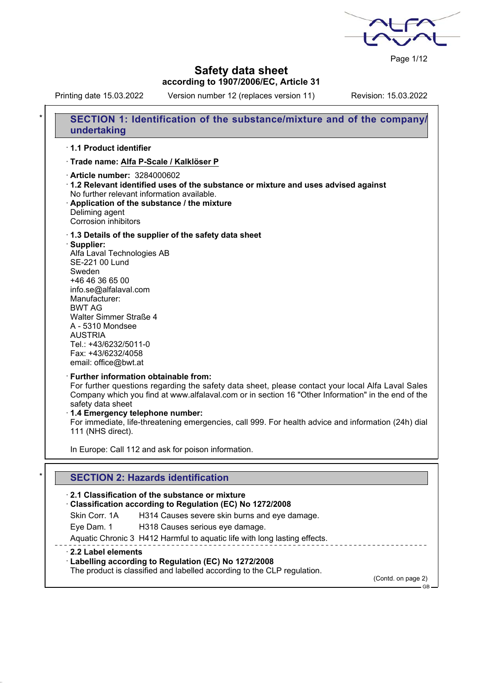Page 1/12

# **Safety data sheet according to 1907/2006/EC, Article 31**

Printing date 15.03.2022 Version number 12 (replaces version 11) Revision: 15.03.2022

|   | SECTION 1: Identification of the substance/mixture and of the company/<br>undertaking                                                                                                                                                                                                                                                                                                                                                 |
|---|---------------------------------------------------------------------------------------------------------------------------------------------------------------------------------------------------------------------------------------------------------------------------------------------------------------------------------------------------------------------------------------------------------------------------------------|
|   | 1.1 Product identifier                                                                                                                                                                                                                                                                                                                                                                                                                |
|   | · Trade name: Alfa P-Scale / Kalklöser P                                                                                                                                                                                                                                                                                                                                                                                              |
|   | Article number: 3284000602<br>1.2 Relevant identified uses of the substance or mixture and uses advised against<br>No further relevant information available.<br>Application of the substance / the mixture<br>Deliming agent<br>Corrosion inhibitors                                                                                                                                                                                 |
|   | 1.3 Details of the supplier of the safety data sheet<br>· Supplier:<br>Alfa Laval Technologies AB<br>SE-221 00 Lund<br>Sweden<br>+46 46 36 65 00<br>info.se@alfalaval.com<br>Manufacturer:<br><b>BWT AG</b><br>Walter Simmer Straße 4<br>A - 5310 Mondsee<br><b>AUSTRIA</b><br>Tel.: +43/6232/5011-0<br>Fax: +43/6232/4058<br>email: office@bwt.at                                                                                    |
|   | · Further information obtainable from:<br>For further questions regarding the safety data sheet, please contact your local Alfa Laval Sales<br>Company which you find at www.alfalaval.com or in section 16 "Other Information" in the end of the<br>safety data sheet<br>1.4 Emergency telephone number:<br>For immediate, life-threatening emergencies, call 999. For health advice and information (24h) dial<br>111 (NHS direct). |
|   | In Europe: Call 112 and ask for poison information.                                                                                                                                                                                                                                                                                                                                                                                   |
| ¥ |                                                                                                                                                                                                                                                                                                                                                                                                                                       |
|   | <b>SECTION 2: Hazards identification</b>                                                                                                                                                                                                                                                                                                                                                                                              |
|   | 2.1 Classification of the substance or mixture<br>Classification according to Regulation (EC) No 1272/2008                                                                                                                                                                                                                                                                                                                            |
|   | Skin Corr. 1A<br>H314 Causes severe skin burns and eye damage.                                                                                                                                                                                                                                                                                                                                                                        |
|   | Eye Dam. 1<br>H318 Causes serious eye damage.                                                                                                                                                                                                                                                                                                                                                                                         |
|   | Aquatic Chronic 3 H412 Harmful to aquatic life with long lasting effects.                                                                                                                                                                                                                                                                                                                                                             |
|   | 2.2 Label elements<br>· Labelling according to Regulation (EC) No 1272/2008<br>The product is classified and labelled according to the CLP regulation.                                                                                                                                                                                                                                                                                |

(Contd. on page 2) GB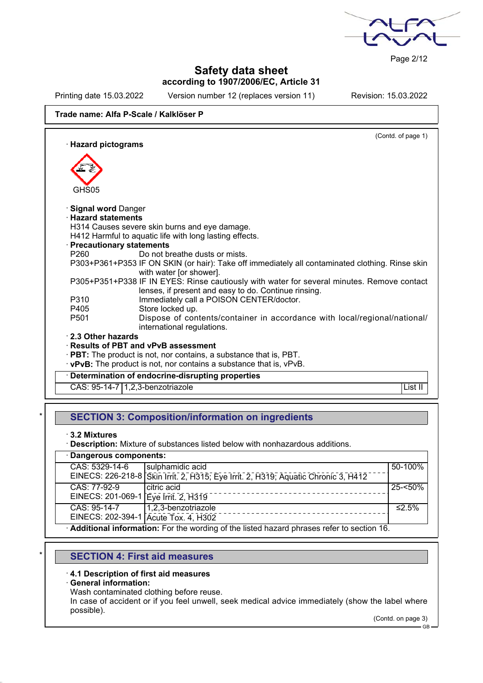

Page 2/12

## **Safety data sheet according to 1907/2006/EC, Article 31**

Printing date 15.03.2022 Version number 12 (replaces version 11) Revision: 15.03.2022

## **Trade name: Alfa P-Scale / Kalklöser P**

(Contd. of page 1) · **Hazard pictograms** GHS<sub>05</sub> · **Signal word** Danger · **Hazard statements** H314 Causes severe skin burns and eye damage. H412 Harmful to aquatic life with long lasting effects. · **Precautionary statements** P260 Do not breathe dusts or mists. P303+P361+P353 IF ON SKIN (or hair): Take off immediately all contaminated clothing. Rinse skin with water [or shower]. P305+P351+P338 IF IN EYES: Rinse cautiously with water for several minutes. Remove contact lenses, if present and easy to do. Continue rinsing. P310 Immediately call a POISON CENTER/doctor. P405 Store locked up. P501 Dispose of contents/container in accordance with local/regional/national/ international regulations. · **2.3 Other hazards** · **Results of PBT and vPvB assessment** · **PBT:** The product is not, nor contains, a substance that is, PBT. · **vPvB:** The product is not, nor contains a substance that is, vPvB. · **Determination of endocrine-disrupting properties** CAS: 95-14-7 | 1.2,3-benzotriazole List II | List II | List II | List II | List II

## **SECTION 3: Composition/information on ingredients**

· **3.2 Mixtures**

**Description:** Mixture of substances listed below with nonhazardous additions.

| · Dangerous components:                                                                     |                                                                                    |            |  |
|---------------------------------------------------------------------------------------------|------------------------------------------------------------------------------------|------------|--|
| CAS: 5329-14-6                                                                              | sulphamidic acid                                                                   | 50-100%    |  |
|                                                                                             | EINECS: 226-218-8 Skin Irrit. 2, H315; Eye Irrit. 2, H319; Aquatic Chronic 3, H412 |            |  |
| CAS: 77-92-9                                                                                | citric acid                                                                        | $25 - 50%$ |  |
| EINECS: 201-069-1   Eye Irrit. 2, H319                                                      |                                                                                    |            |  |
| CAS: 95-14-7                                                                                | 1,2,3-benzotriazole                                                                | ≤2.5%      |  |
| EINECS: 202-394-1 Acute Tox. 4, H302                                                        |                                                                                    |            |  |
| · Additional information: For the wording of the listed hazard phrases refer to section 16. |                                                                                    |            |  |

# **SECTION 4: First aid measures**

#### · **4.1 Description of first aid measures**

#### · **General information:**

Wash contaminated clothing before reuse.

In case of accident or if you feel unwell, seek medical advice immediately (show the label where possible).

(Contd. on page 3)

GB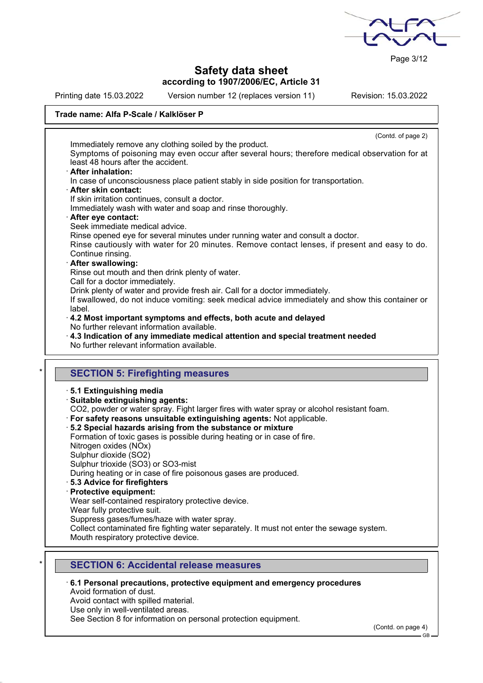

Page 3/12

# **Safety data sheet according to 1907/2006/EC, Article 31**

Printing date 15.03.2022 Version number 12 (replaces version 11) Revision: 15.03.2022

## **Trade name: Alfa P-Scale / Kalklöser P**

|                       | (Contd. of page 2)                                                                                                                                                                                                |
|-----------------------|-------------------------------------------------------------------------------------------------------------------------------------------------------------------------------------------------------------------|
|                       | Immediately remove any clothing soiled by the product.<br>Symptoms of poisoning may even occur after several hours; therefore medical observation for at<br>least 48 hours after the accident.                    |
| · After inhalation:   | In case of unconsciousness place patient stably in side position for transportation.                                                                                                                              |
| · After skin contact: |                                                                                                                                                                                                                   |
|                       | If skin irritation continues, consult a doctor.<br>Immediately wash with water and soap and rinse thoroughly.                                                                                                     |
| · After eye contact:  |                                                                                                                                                                                                                   |
|                       | Seek immediate medical advice.<br>Rinse opened eye for several minutes under running water and consult a doctor.                                                                                                  |
| Continue rinsing.     | Rinse cautiously with water for 20 minutes. Remove contact lenses, if present and easy to do.                                                                                                                     |
| · After swallowing:   | Rinse out mouth and then drink plenty of water.                                                                                                                                                                   |
| label.                | Call for a doctor immediately.<br>Drink plenty of water and provide fresh air. Call for a doctor immediately.<br>If swallowed, do not induce vomiting: seek medical advice immediately and show this container or |
|                       | 4.2 Most important symptoms and effects, both acute and delayed                                                                                                                                                   |
|                       |                                                                                                                                                                                                                   |
|                       | No further relevant information available.<br>$\cdot$ 4.3 Indication of any immediate medical attention and special treatment needed                                                                              |
|                       | No further relevant information available.                                                                                                                                                                        |
|                       |                                                                                                                                                                                                                   |
|                       | <b>SECTION 5: Firefighting measures</b>                                                                                                                                                                           |
|                       | 5.1 Extinguishing media                                                                                                                                                                                           |
|                       | · Suitable extinguishing agents:                                                                                                                                                                                  |
|                       | CO2, powder or water spray. Fight larger fires with water spray or alcohol resistant foam.                                                                                                                        |
|                       | · For safety reasons unsuitable extinguishing agents: Not applicable.                                                                                                                                             |
|                       | 5.2 Special hazards arising from the substance or mixture<br>Formation of toxic gases is possible during heating or in case of fire.                                                                              |
|                       | Nitrogen oxides (NOx)                                                                                                                                                                                             |
|                       | Sulphur dioxide (SO2)                                                                                                                                                                                             |
|                       | Sulphur trioxide (SO3) or SO3-mist                                                                                                                                                                                |
|                       | During heating or in case of fire poisonous gases are produced.                                                                                                                                                   |
|                       | · 5.3 Advice for firefighters                                                                                                                                                                                     |
|                       | <b>Protective equipment:</b>                                                                                                                                                                                      |
|                       | Wear self-contained respiratory protective device.                                                                                                                                                                |
|                       | Wear fully protective suit.                                                                                                                                                                                       |
|                       | Suppress gases/fumes/haze with water spray.<br>Collect contaminated fire fighting water separately. It must not enter the sewage system.                                                                          |

# **SECTION 6: Accidental release measures**

· **6.1 Personal precautions, protective equipment and emergency procedures** Avoid formation of dust. Avoid contact with spilled material.

Use only in well-ventilated areas.

See Section 8 for information on personal protection equipment.

(Contd. on page 4)

GB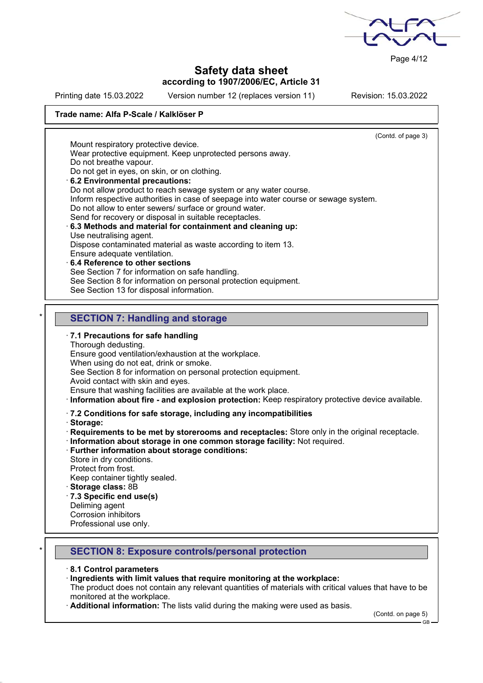

Page 4/12

(Contd. of page 3)

## **Safety data sheet according to 1907/2006/EC, Article 31**

Printing date 15.03.2022 Version number 12 (replaces version 11) Revision: 15.03.2022

## **Trade name: Alfa P-Scale / Kalklöser P**

Mount respiratory protective device.

Wear protective equipment. Keep unprotected persons away.

Do not breathe vapour.

- Do not get in eyes, on skin, or on clothing.
- · **6.2 Environmental precautions:**

Do not allow product to reach sewage system or any water course.

Inform respective authorities in case of seepage into water course or sewage system.

Do not allow to enter sewers/ surface or ground water.

#### Send for recovery or disposal in suitable receptacles. · **6.3 Methods and material for containment and cleaning up:** Use neutralising agent.

Dispose contaminated material as waste according to item 13.

- Ensure adequate ventilation.
- · **6.4 Reference to other sections**

See Section 7 for information on safe handling.

See Section 8 for information on personal protection equipment.

See Section 13 for disposal information.

# **SECTION 7: Handling and storage**

## · **7.1 Precautions for safe handling**

Thorough dedusting.

Ensure good ventilation/exhaustion at the workplace.

When using do not eat, drink or smoke.

See Section 8 for information on personal protection equipment.

Avoid contact with skin and eyes.

Ensure that washing facilities are available at the work place.

· **Information about fire - and explosion protection:** Keep respiratory protective device available.

· **7.2 Conditions for safe storage, including any incompatibilities**

· **Storage:**

· **Requirements to be met by storerooms and receptacles:** Store only in the original receptacle.

- · **Information about storage in one common storage facility:** Not required.
- · **Further information about storage conditions:**

Store in dry conditions.

Protect from frost.

Keep container tightly sealed.

- · **Storage class:** 8B
- · **7.3 Specific end use(s)**
- Deliming agent
- Corrosion inhibitors

Professional use only.

# \* **SECTION 8: Exposure controls/personal protection**

#### · **8.1 Control parameters**

## · **Ingredients with limit values that require monitoring at the workplace:**

The product does not contain any relevant quantities of materials with critical values that have to be monitored at the workplace.

Additional information: The lists valid during the making were used as basis.

(Contd. on page 5)

GB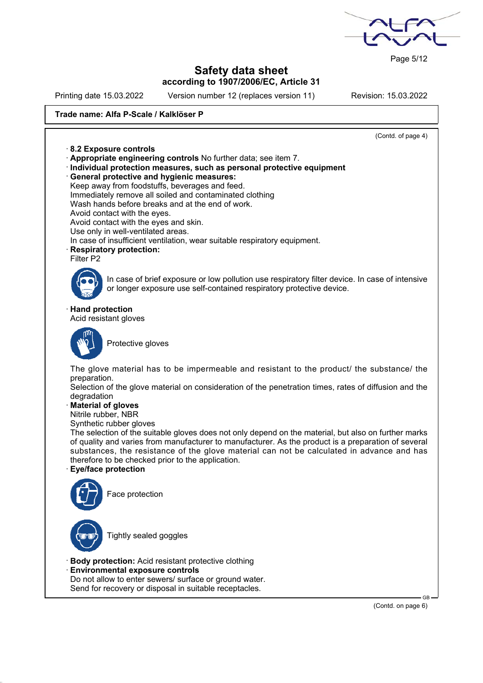

Page 5/12

# **Safety data sheet according to 1907/2006/EC, Article 31**

Printing date 15.03.2022 Version number 12 (replaces version 11) Revision: 15.03.2022

### **Trade name: Alfa P-Scale / Kalklöser P**

(Contd. of page 4) · **8.2 Exposure controls** · **Appropriate engineering controls** No further data; see item 7. · **Individual protection measures, such as personal protective equipment** · **General protective and hygienic measures:** Keep away from foodstuffs, beverages and feed. Immediately remove all soiled and contaminated clothing Wash hands before breaks and at the end of work. Avoid contact with the eyes. Avoid contact with the eyes and skin. Use only in well-ventilated areas. In case of insufficient ventilation, wear suitable respiratory equipment. · **Respiratory protection:** Filter P2 In case of brief exposure or low pollution use respiratory filter device. In case of intensive or longer exposure use self-contained respiratory protective device. · **Hand protection** Acid resistant gloves Protective gloves The glove material has to be impermeable and resistant to the product/ the substance/ the preparation. Selection of the glove material on consideration of the penetration times, rates of diffusion and the degradation · **Material of gloves** Nitrile rubber, NBR Synthetic rubber gloves The selection of the suitable gloves does not only depend on the material, but also on further marks of quality and varies from manufacturer to manufacturer. As the product is a preparation of several substances, the resistance of the glove material can not be calculated in advance and has therefore to be checked prior to the application. · **Eye/face protection** Face protection Tightly sealed goggles · **Body protection:** Acid resistant protective clothing · **Environmental exposure controls**

Do not allow to enter sewers/ surface or ground water. Send for recovery or disposal in suitable receptacles.

(Contd. on page 6)

GB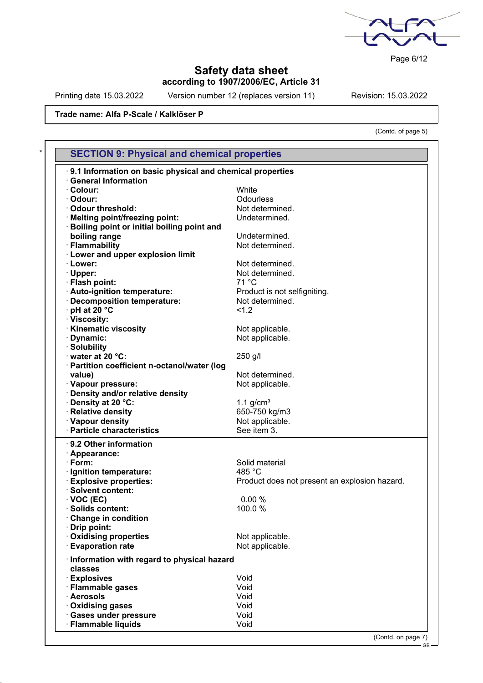

Page 6/12

## **Safety data sheet according to 1907/2006/EC, Article 31**

Printing date 15.03.2022 Version number 12 (replaces version 11) Revision: 15.03.2022

(Contd. of page 5)

## **Trade name: Alfa P-Scale / Kalklöser P**

| .9.1 Information on basic physical and chemical properties |                                               |
|------------------------------------------------------------|-----------------------------------------------|
| <b>General Information</b>                                 |                                               |
| $\cdot$ Colour:                                            | White                                         |
| · Odour:                                                   | Odourless                                     |
| Odour threshold:                                           | Not determined.                               |
| · Melting point/freezing point:                            | Undetermined.                                 |
| Boiling point or initial boiling point and                 |                                               |
| boiling range                                              | Undetermined.                                 |
| · Flammability                                             | Not determined.                               |
| <b>Lower and upper explosion limit</b>                     |                                               |
| · Lower:                                                   | Not determined.                               |
| · Upper:                                                   | Not determined.                               |
| · Flash point:                                             | $71^{\circ}$ C                                |
| · Auto-ignition temperature:                               | Product is not selfigniting.                  |
| · Decomposition temperature:                               | Not determined.                               |
| $\cdot$ pH at 20 $\degree$ C                               | < 1.2                                         |
| · Viscosity:                                               |                                               |
| · Kinematic viscosity                                      | Not applicable.                               |
| · Dynamic:                                                 | Not applicable.                               |
| · Solubility                                               |                                               |
| water at 20 °C:                                            | 250 g/l                                       |
| · Partition coefficient n-octanol/water (log               |                                               |
| value)                                                     | Not determined.                               |
| · Vapour pressure:                                         |                                               |
|                                                            | Not applicable.                               |
| · Density and/or relative density                          |                                               |
| · Density at 20 °C:                                        | 1.1 $g/cm3$                                   |
| · Relative density<br>· Vapour density                     | 650-750 kg/m3<br>Not applicable.              |
| · Particle characteristics                                 | See item 3.                                   |
|                                                            |                                               |
| 9.2 Other information                                      |                                               |
| · Appearance:                                              |                                               |
| $\cdot$ Form:                                              | Solid material                                |
| · Ignition temperature:                                    | 485 °C                                        |
| <b>Explosive properties:</b>                               | Product does not present an explosion hazard. |
| · Solvent content:                                         |                                               |
| $\cdot$ VOC (EC)                                           | 0.00%                                         |
| Solids content:                                            | 100.0%                                        |
| Change in condition                                        |                                               |
| · Drip point:                                              |                                               |
| · Oxidising properties                                     | Not applicable.                               |
| <b>Evaporation rate</b>                                    | Not applicable.                               |
| · Information with regard to physical hazard               |                                               |
| classes                                                    |                                               |
| · Explosives                                               | Void                                          |
| · Flammable gases                                          | Void                                          |
| · Aerosols                                                 | Void                                          |
| · Oxidising gases                                          | Void                                          |
| · Gases under pressure                                     | Void                                          |
| · Flammable liquids                                        | Void                                          |

GB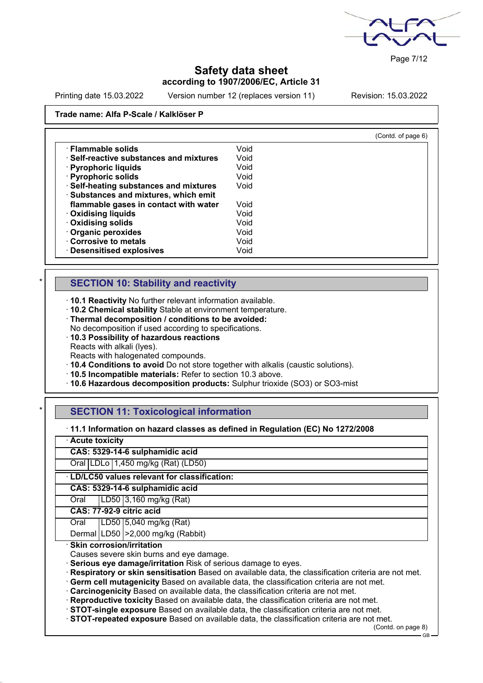

Page 7/12

# **Safety data sheet according to 1907/2006/EC, Article 31**

Printing date 15.03.2022 Version number 12 (replaces version 11) Revision: 15.03.2022

### **Trade name: Alfa P-Scale / Kalklöser P**

|                                         |      | (Contd. of page 6) |
|-----------------------------------------|------|--------------------|
| · Flammable solids                      | Void |                    |
| · Self-reactive substances and mixtures | Void |                    |
| · Pyrophoric liquids                    | Void |                    |
| · Pyrophoric solids                     | Void |                    |
| · Self-heating substances and mixtures  | Void |                    |
| · Substances and mixtures, which emit   |      |                    |
| flammable gases in contact with water   | Void |                    |
| · Oxidising liquids                     | Void |                    |
| Oxidising solids                        | Void |                    |
| · Organic peroxides                     | Void |                    |
| Corrosive to metals                     | Void |                    |
| <b>Desensitised explosives</b>          | Void |                    |

# **SECTION 10: Stability and reactivity**

· **10.1 Reactivity** No further relevant information available.

· **10.2 Chemical stability** Stable at environment temperature.

· **Thermal decomposition / conditions to be avoided:** No decomposition if used according to specifications.

· **10.3 Possibility of hazardous reactions**

Reacts with alkali (lyes).

Reacts with halogenated compounds.

· **10.4 Conditions to avoid** Do not store together with alkalis (caustic solutions).

· **10.5 Incompatible materials:** Refer to section 10.3 above.

· **10.6 Hazardous decomposition products:** Sulphur trioxide (SO3) or SO3-mist

## **SECTION 11: Toxicological information**

· **11.1 Information on hazard classes as defined in Regulation (EC) No 1272/2008**

| · Acute toxicity |                                             |                                        |  |  |
|------------------|---------------------------------------------|----------------------------------------|--|--|
|                  |                                             | CAS: 5329-14-6 sulphamidic acid        |  |  |
|                  |                                             | Oral LDLo 1,450 mg/kg (Rat) (LD50)     |  |  |
|                  | LD/LC50 values relevant for classification: |                                        |  |  |
|                  | CAS: 5329-14-6 sulphamidic acid             |                                        |  |  |
| Oral             |                                             | LD50 3,160 mg/kg (Rat)                 |  |  |
|                  | CAS: 77-92-9 citric acid                    |                                        |  |  |
| Oral             |                                             | $\overline{ LD50 }$ 5,040 mg/kg (Rat)  |  |  |
|                  |                                             | Dermal   LD50   > 2,000 mg/kg (Rabbit) |  |  |
|                  | · Skin corrosion/irritation                 |                                        |  |  |

Causes severe skin burns and eye damage.

· **Serious eye damage/irritation** Risk of serious damage to eyes.

· **Respiratory or skin sensitisation** Based on available data, the classification criteria are not met.

· **Germ cell mutagenicity** Based on available data, the classification criteria are not met.

· **Carcinogenicity** Based on available data, the classification criteria are not met.

· **Reproductive toxicity** Based on available data, the classification criteria are not met.

· **STOT-single exposure** Based on available data, the classification criteria are not met.

· **STOT-repeated exposure** Based on available data, the classification criteria are not met.

(Contd. on page 8)

GB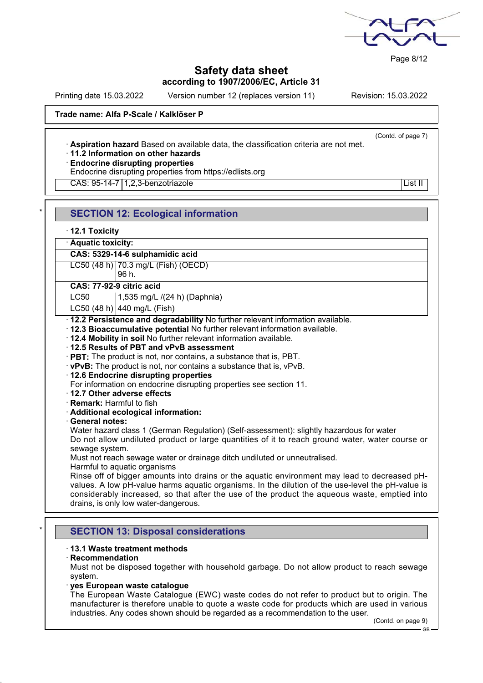

Page 8/12

# **Safety data sheet according to 1907/2006/EC, Article 31**

Printing date 15.03.2022 Version number 12 (replaces version 11) Revision: 15.03.2022

(Contd. of page 7)

## **Trade name: Alfa P-Scale / Kalklöser P**

· **Aspiration hazard** Based on available data, the classification criteria are not met.

# · **11.2 Information on other hazards**

· **Endocrine disrupting properties**

Endocrine disrupting properties from https://edlists.org

CAS: 95-14-7 | 1,2,3-benzotriazole List II | List II | List II | List II | List II

|   | <b>SECTION 12: Ecological information</b>                                                                                                                                                                                                                                                                                                |
|---|------------------------------------------------------------------------------------------------------------------------------------------------------------------------------------------------------------------------------------------------------------------------------------------------------------------------------------------|
|   | $\cdot$ 12.1 Toxicity                                                                                                                                                                                                                                                                                                                    |
|   | · Aquatic toxicity:                                                                                                                                                                                                                                                                                                                      |
|   | CAS: 5329-14-6 sulphamidic acid                                                                                                                                                                                                                                                                                                          |
|   | LC50 (48 h) 70.3 mg/L (Fish) (OECD)<br>96 h.                                                                                                                                                                                                                                                                                             |
|   | CAS: 77-92-9 citric acid                                                                                                                                                                                                                                                                                                                 |
|   | 1,535 mg/L /(24 h) (Daphnia)<br><b>LC50</b>                                                                                                                                                                                                                                                                                              |
|   | LC50 (48 h) 440 mg/L (Fish)                                                                                                                                                                                                                                                                                                              |
|   | · 12.2 Persistence and degradability No further relevant information available.<br>· 12.3 Bioaccumulative potential No further relevant information available.<br>. 12.4 Mobility in soil No further relevant information available.                                                                                                     |
|   | 12.5 Results of PBT and vPvB assessment<br>· PBT: The product is not, nor contains, a substance that is, PBT.                                                                                                                                                                                                                            |
|   | $\cdot$ vPvB: The product is not, nor contains a substance that is, vPvB.                                                                                                                                                                                                                                                                |
|   | 12.6 Endocrine disrupting properties                                                                                                                                                                                                                                                                                                     |
|   | For information on endocrine disrupting properties see section 11.<br>12.7 Other adverse effects                                                                                                                                                                                                                                         |
|   | · Remark: Harmful to fish                                                                                                                                                                                                                                                                                                                |
|   | · Additional ecological information:                                                                                                                                                                                                                                                                                                     |
|   | · General notes:                                                                                                                                                                                                                                                                                                                         |
|   | Water hazard class 1 (German Regulation) (Self-assessment): slightly hazardous for water<br>Do not allow undiluted product or large quantities of it to reach ground water, water course or<br>sewage system.                                                                                                                            |
|   | Must not reach sewage water or drainage ditch undiluted or unneutralised.<br>Harmful to aquatic organisms                                                                                                                                                                                                                                |
|   | Rinse off of bigger amounts into drains or the aquatic environment may lead to decreased pH-<br>values. A low pH-value harms aquatic organisms. In the dilution of the use-level the pH-value is<br>considerably increased, so that after the use of the product the aqueous waste, emptied into<br>drains, is only low water-dangerous. |
|   |                                                                                                                                                                                                                                                                                                                                          |
| × | <b>SECTION 13: Disposal considerations</b>                                                                                                                                                                                                                                                                                               |
|   | ⋅13.1 Waste treatment methods<br>$\cdot$ Recommendation<br>Must not be disposed together with household garbage. Do not allow product to reach sewage<br>system.                                                                                                                                                                         |

· **yes European waste catalogue**

The European Waste Catalogue (EWC) waste codes do not refer to product but to origin. The manufacturer is therefore unable to quote a waste code for products which are used in various industries. Any codes shown should be regarded as a recommendation to the user.

(Contd. on page 9)

GB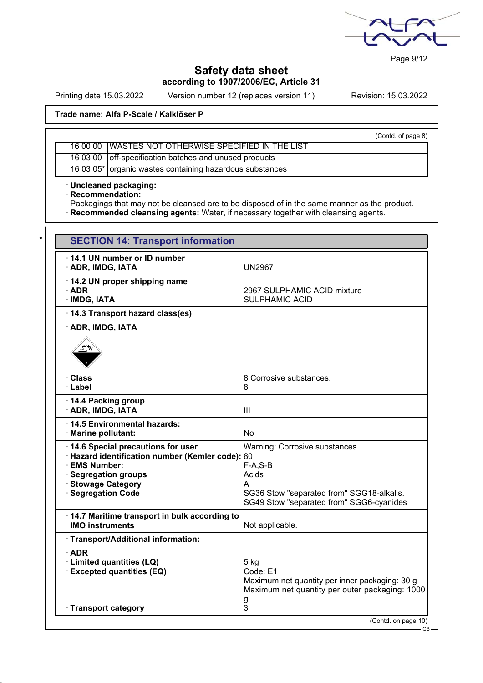

Page 9/12

# **Safety data sheet according to 1907/2006/EC, Article 31**

Printing date 15.03.2022 Version number 12 (replaces version 11) Revision: 15.03.2022

## **Trade name: Alfa P-Scale / Kalklöser P**

| (Contd. of page 8)                                       |
|----------------------------------------------------------|
| 16 00 00 WASTES NOT OTHERWISE SPECIFIED IN THE LIST      |
| 16 03 00 off-specification batches and unused products   |
| 16 03 05* organic wastes containing hazardous substances |

· **Uncleaned packaging:**

· **Recommendation:**

Packagings that may not be cleansed are to be disposed of in the same manner as the product. · **Recommended cleansing agents:** Water, if necessary together with cleansing agents.

| <b>SECTION 14: Transport information</b>                                                                                                                                             |                                                                                                                                                     |
|--------------------------------------------------------------------------------------------------------------------------------------------------------------------------------------|-----------------------------------------------------------------------------------------------------------------------------------------------------|
| 14.1 UN number or ID number<br>· ADR, IMDG, IATA                                                                                                                                     | <b>UN2967</b>                                                                                                                                       |
| 14.2 UN proper shipping name<br>$\cdot$ ADR<br>· IMDG, IATA                                                                                                                          | 2967 SULPHAMIC ACID mixture<br><b>SULPHAMIC ACID</b>                                                                                                |
| 14.3 Transport hazard class(es)                                                                                                                                                      |                                                                                                                                                     |
| <b>ADR, IMDG, IATA</b>                                                                                                                                                               |                                                                                                                                                     |
| · Class<br>· Label                                                                                                                                                                   | 8 Corrosive substances.<br>8                                                                                                                        |
| 14.4 Packing group<br>· ADR, IMDG, IATA                                                                                                                                              | Ш                                                                                                                                                   |
| 14.5 Environmental hazards:<br>· Marine pollutant:                                                                                                                                   | No                                                                                                                                                  |
| 14.6 Special precautions for user<br>· Hazard identification number (Kemler code): 80<br>· EMS Number:<br><b>Segregation groups</b><br><b>Stowage Category</b><br>· Segregation Code | Warning: Corrosive substances.<br>$F-A, S-B$<br>Acids<br>A<br>SG36 Stow "separated from" SGG18-alkalis.<br>SG49 Stow "separated from" SGG6-cyanides |
| 14.7 Maritime transport in bulk according to<br><b>IMO instruments</b>                                                                                                               | Not applicable.                                                                                                                                     |
| · Transport/Additional information:                                                                                                                                                  |                                                                                                                                                     |
| ∙ADR<br>· Limited quantities (LQ)<br><b>Excepted quantities (EQ)</b><br>· Transport category                                                                                         | $5$ kg<br>Code: E1<br>Maximum net quantity per inner packaging: 30 g<br>Maximum net quantity per outer packaging: 1000<br>g<br>3                    |
|                                                                                                                                                                                      | (Contd. on page 10)                                                                                                                                 |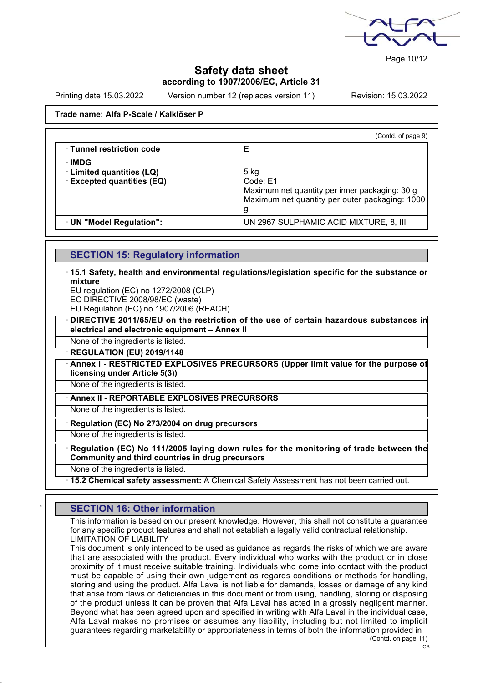

Page 10/12

GB

## **Safety data sheet according to 1907/2006/EC, Article 31**

Printing date 15.03.2022 Version number 12 (replaces version 11) Revision: 15.03.2022

### **Trade name: Alfa P-Scale / Kalklöser P**

|                                 | (Contd. of page 9)                             |
|---------------------------------|------------------------------------------------|
| <b>Tunnel restriction code</b>  |                                                |
| ∙IMDG                           |                                                |
| · Limited quantities (LQ)       | 5 kg                                           |
| <b>Excepted quantities (EQ)</b> | Code: E1                                       |
|                                 | Maximum net quantity per inner packaging: 30 g |
|                                 | Maximum net quantity per outer packaging: 1000 |
|                                 | g                                              |
| · UN "Model Regulation":        | UN 2967 SULPHAMIC ACID MIXTURE, 8, III         |

## **SECTION 15: Regulatory information**

· **15.1 Safety, health and environmental regulations/legislation specific for the substance or mixture**

EU regulation (EC) no 1272/2008 (CLP)

EC DIRECTIVE 2008/98/EC (waste)

EU Regulation (EC) no.1907/2006 (REACH)

· **DIRECTIVE 2011/65/EU on the restriction of the use of certain hazardous substances in electrical and electronic equipment – Annex II**

None of the ingredients is listed. · **REGULATION (EU) 2019/1148**

· **Annex I - RESTRICTED EXPLOSIVES PRECURSORS (Upper limit value for the purpose of**

**licensing under Article 5(3))**

None of the ingredients is listed.

· **Annex II - REPORTABLE EXPLOSIVES PRECURSORS**

None of the ingredients is listed.

· **Regulation (EC) No 273/2004 on drug precursors**

None of the ingredients is listed.

· **Regulation (EC) No 111/2005 laying down rules for the monitoring of trade between the Community and third countries in drug precursors**

None of the ingredients is listed.

· **15.2 Chemical safety assessment:** A Chemical Safety Assessment has not been carried out.

# **SECTION 16: Other information**

This information is based on our present knowledge. However, this shall not constitute a guarantee for any specific product features and shall not establish a legally valid contractual relationship. LIMITATION OF LIABILITY

This document is only intended to be used as guidance as regards the risks of which we are aware that are associated with the product. Every individual who works with the product or in close proximity of it must receive suitable training. Individuals who come into contact with the product must be capable of using their own judgement as regards conditions or methods for handling, storing and using the product. Alfa Laval is not liable for demands, losses or damage of any kind that arise from flaws or deficiencies in this document or from using, handling, storing or disposing of the product unless it can be proven that Alfa Laval has acted in a grossly negligent manner. Beyond what has been agreed upon and specified in writing with Alfa Laval in the individual case, Alfa Laval makes no promises or assumes any liability, including but not limited to implicit guarantees regarding marketability or appropriateness in terms of both the information provided in (Contd. on page 11)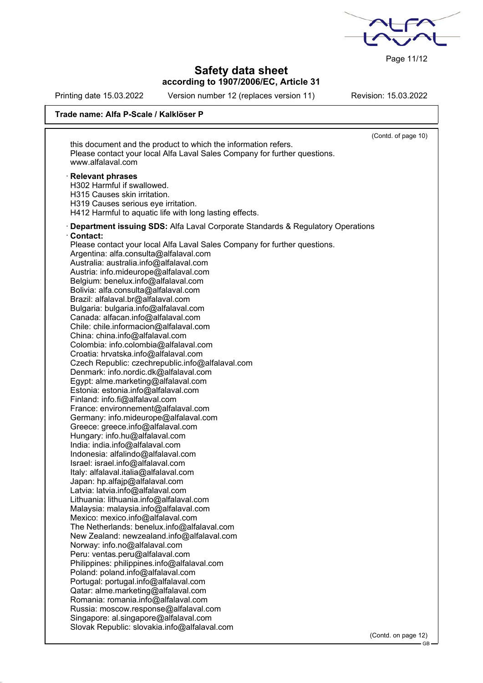

Page 11/12

GB

# **Safety data sheet according to 1907/2006/EC, Article 31**

Printing date 15.03.2022 Version number 12 (replaces version 11) Revision: 15.03.2022

## **Trade name: Alfa P-Scale / Kalklöser P**

|                                                                                  | (Contd. of page 10) |
|----------------------------------------------------------------------------------|---------------------|
| this document and the product to which the information refers.                   |                     |
| Please contact your local Alfa Laval Sales Company for further questions.        |                     |
| www.alfalaval.com                                                                |                     |
|                                                                                  |                     |
| · Relevant phrases                                                               |                     |
| H302 Harmful if swallowed.                                                       |                     |
| H315 Causes skin irritation.                                                     |                     |
| H319 Causes serious eye irritation.                                              |                     |
| H412 Harmful to aquatic life with long lasting effects.                          |                     |
|                                                                                  |                     |
| · Department issuing SDS: Alfa Laval Corporate Standards & Regulatory Operations |                     |
| Contact:                                                                         |                     |
| Please contact your local Alfa Laval Sales Company for further questions.        |                     |
| Argentina: alfa.consulta@alfalaval.com                                           |                     |
| Australia: australia.info@alfalaval.com                                          |                     |
| Austria: info.mideurope@alfalaval.com                                            |                     |
| Belgium: benelux.info@alfalaval.com                                              |                     |
| Bolivia: alfa.consulta@alfalaval.com                                             |                     |
| Brazil: alfalaval.br@alfalaval.com                                               |                     |
| Bulgaria: bulgaria.info@alfalaval.com                                            |                     |
| Canada: alfacan.info@alfalaval.com                                               |                     |
| Chile: chile.informacion@alfalaval.com                                           |                     |
| China: china.info@alfalaval.com                                                  |                     |
| Colombia: info.colombia@alfalaval.com                                            |                     |
| Croatia: hrvatska.info@alfalaval.com                                             |                     |
| Czech Republic: czechrepublic.info@alfalaval.com                                 |                     |
| Denmark: info.nordic.dk@alfalaval.com                                            |                     |
| Egypt: alme.marketing@alfalaval.com                                              |                     |
| Estonia: estonia.info@alfalaval.com                                              |                     |
| Finland: info.fi@alfalaval.com                                                   |                     |
| France: environnement@alfalaval.com                                              |                     |
| Germany: info.mideurope@alfalaval.com                                            |                     |
| Greece: greece.info@alfalaval.com                                                |                     |
| Hungary: info.hu@alfalaval.com                                                   |                     |
| India: india.info@alfalaval.com                                                  |                     |
| Indonesia: alfalindo@alfalaval.com                                               |                     |
| Israel: israel.info@alfalaval.com                                                |                     |
| Italy: alfalaval.italia@alfalaval.com                                            |                     |
|                                                                                  |                     |
| Japan: hp.alfajp@alfalaval.com                                                   |                     |
| Latvia: latvia.info@alfalaval.com                                                |                     |
| Lithuania: lithuania.info@alfalaval.com                                          |                     |
| Malaysia: malaysia.info@alfalaval.com                                            |                     |
| Mexico: mexico.info@alfalaval.com                                                |                     |
| The Netherlands: benelux.info@alfalaval.com                                      |                     |
| New Zealand: newzealand.info@alfalaval.com                                       |                     |
| Norway: info.no@alfalaval.com                                                    |                     |
| Peru: ventas.peru@alfalaval.com                                                  |                     |
| Philippines: philippines.info@alfalaval.com                                      |                     |
| Poland: poland.info@alfalaval.com                                                |                     |
| Portugal: portugal.info@alfalaval.com                                            |                     |
| Qatar: alme.marketing@alfalaval.com                                              |                     |
| Romania: romania.info@alfalaval.com                                              |                     |
| Russia: moscow.response@alfalaval.com                                            |                     |
| Singapore: al.singapore@alfalaval.com                                            |                     |
| Slovak Republic: slovakia.info@alfalaval.com                                     |                     |
|                                                                                  | (Contd. on page 12) |
|                                                                                  |                     |